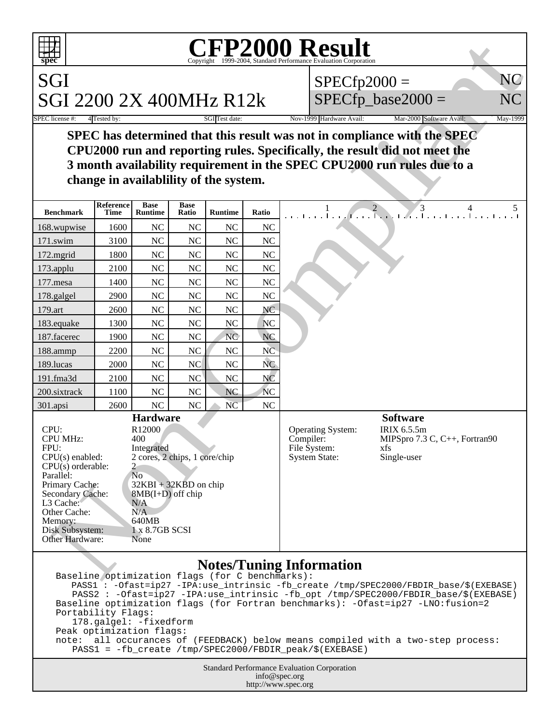

## **CFP2000 Result** Copyright ©1999-2004, Standard I

| <b>CFP2000 Result</b><br>$\exists H$<br>m<br>Copyright ©1999-2004, Standard Performance Evaluation Corporation                                                                                                                                                                                                                                                                                                                     |                          |                               |                      |                |                |                                                                               |                                                                                       |    |
|------------------------------------------------------------------------------------------------------------------------------------------------------------------------------------------------------------------------------------------------------------------------------------------------------------------------------------------------------------------------------------------------------------------------------------|--------------------------|-------------------------------|----------------------|----------------|----------------|-------------------------------------------------------------------------------|---------------------------------------------------------------------------------------|----|
| spec                                                                                                                                                                                                                                                                                                                                                                                                                               |                          |                               |                      |                |                |                                                                               |                                                                                       |    |
| SGI                                                                                                                                                                                                                                                                                                                                                                                                                                |                          |                               |                      |                |                | $SPECfp2000 =$                                                                |                                                                                       | NC |
| SGI 2200 2X 400MHz R12k                                                                                                                                                                                                                                                                                                                                                                                                            |                          |                               |                      |                |                | $SPECfp\_base2000 =$                                                          |                                                                                       | NC |
| Nov-1999 Hardware Avail:<br>SPEC license #:<br>SGI Test date:<br>Mar-2000 Software Avail:<br>May-1999<br>4 Tested by:                                                                                                                                                                                                                                                                                                              |                          |                               |                      |                |                |                                                                               |                                                                                       |    |
| SPEC has determined that this result was not in compliance with the SPEC<br>CPU2000 run and reporting rules. Specifically, the result did not meet the<br>3 month availability requirement in the SPEC CPU2000 run rules due to a<br>change in availablility of the system.                                                                                                                                                        |                          |                               |                      |                |                |                                                                               |                                                                                       |    |
| <b>Benchmark</b>                                                                                                                                                                                                                                                                                                                                                                                                                   | Reference<br><b>Time</b> | <b>Base</b><br><b>Runtime</b> | <b>Base</b><br>Ratio | <b>Runtime</b> | Ratio          | $\overline{2}$                                                                | 3                                                                                     |    |
| 168.wupwise                                                                                                                                                                                                                                                                                                                                                                                                                        | 1600                     | NC                            | <b>NC</b>            | N <sub>C</sub> | <b>NC</b>      |                                                                               |                                                                                       |    |
| 171.swim                                                                                                                                                                                                                                                                                                                                                                                                                           | 3100                     | <b>NC</b>                     | <b>NC</b>            | <b>NC</b>      | <b>NC</b>      |                                                                               |                                                                                       |    |
| 172.mgrid                                                                                                                                                                                                                                                                                                                                                                                                                          | 1800                     | <b>NC</b>                     | <b>NC</b>            | <b>NC</b>      | NC             |                                                                               |                                                                                       |    |
| 173.applu                                                                                                                                                                                                                                                                                                                                                                                                                          | 2100                     | <b>NC</b>                     | <b>NC</b>            | <b>NC</b>      | <b>NC</b>      |                                                                               |                                                                                       |    |
| 177.mesa                                                                                                                                                                                                                                                                                                                                                                                                                           | 1400                     | <b>NC</b>                     | NC                   | <b>NC</b>      | <b>NC</b>      |                                                                               |                                                                                       |    |
| 178.galgel                                                                                                                                                                                                                                                                                                                                                                                                                         | 2900                     | <b>NC</b>                     | <b>NC</b>            | <b>NC</b>      | NC             |                                                                               |                                                                                       |    |
| 179.art                                                                                                                                                                                                                                                                                                                                                                                                                            | 2600                     | <b>NC</b>                     | <b>NC</b>            | <b>NC</b>      | NC             |                                                                               |                                                                                       |    |
| 183.equake                                                                                                                                                                                                                                                                                                                                                                                                                         | 1300                     | <b>NC</b>                     | NC                   | N <sub>C</sub> | <b>NC</b>      |                                                                               |                                                                                       |    |
| 187.facerec                                                                                                                                                                                                                                                                                                                                                                                                                        | 1900                     | <b>NC</b>                     | <b>NC</b>            | <b>NC</b>      | <b>NC</b>      |                                                                               |                                                                                       |    |
| 188.ammp                                                                                                                                                                                                                                                                                                                                                                                                                           | 2200                     | <b>NC</b>                     | <b>NC</b>            | NC             | N <sub>C</sub> |                                                                               |                                                                                       |    |
| 189.lucas                                                                                                                                                                                                                                                                                                                                                                                                                          | 2000                     | <b>NC</b>                     | <b>NC</b>            | NC             | <b>NC</b>      |                                                                               |                                                                                       |    |
| 191.fma3d                                                                                                                                                                                                                                                                                                                                                                                                                          | 2100                     | <b>NC</b>                     | NC                   | NC             | NC             |                                                                               |                                                                                       |    |
| 200.sixtrack                                                                                                                                                                                                                                                                                                                                                                                                                       | 1100                     | <b>NC</b>                     | <b>NC</b>            | <b>NC</b>      | <b>NC</b>      |                                                                               |                                                                                       |    |
| $301$ .apsi                                                                                                                                                                                                                                                                                                                                                                                                                        | 2600                     | <b>NC</b>                     | N <sub>C</sub>       | N <sub>C</sub> | <b>NC</b>      |                                                                               |                                                                                       |    |
| <b>Hardware</b><br>CPU:<br>R12000<br><b>CPU MHz:</b><br>400<br>FPU:<br>Integrated<br>2 cores, 2 chips, 1 core/chip<br>$CPU(s)$ enabled:<br>CPU(s) orderable:<br>$\mathbf{2}$<br>N <sub>o</sub><br>Parallel:<br>Primary Cache:<br>$32KBI + 32KBD$ on chip<br>Secondary Cache:<br>$8MB(I+D)$ off chip<br>L3 Cache:<br>N/A<br>Other Cache:<br>N/A<br>640MB<br>Memory:<br>1 x 8.7GB SCSI<br>Disk Subsystem:<br>Other Hardware:<br>None |                          |                               |                      |                |                | <b>Operating System:</b><br>Compiler:<br>File System:<br><b>System State:</b> | <b>Software</b><br>IRIX 6.5.5m<br>MIPSpro 7.3 C, C++, Fortran90<br>xfs<br>Single-user |    |
| <b>Notes/Tuning Information</b><br>Baseline optimization flags (for C benchmarks):                                                                                                                                                                                                                                                                                                                                                 |                          |                               |                      |                |                |                                                                               |                                                                                       |    |

## **Notes/Tuning Information**

Baseline optimization flags (for C benchmarks): PASS1 : -Ofast=ip27 -IPA:use\_intrinsic -fb\_create /tmp/SPEC2000/FBDIR\_base/\$(EXEBASE) PASS2 : -Ofast=ip27 -IPA:use\_intrinsic -fb\_opt /tmp/SPEC2000/FBDIR\_base/\$(EXEBASE) Baseline optimization flags (for Fortran benchmarks): -Ofast=ip27 -LNO:fusion=2 Portability Flags: 178.galgel: -fixedform Peak optimization flags: note: all occurances of (FEEDBACK) below means compiled with a two-step process: PASS1 = -fb\_create /tmp/SPEC2000/FBDIR\_peak/\$(EXEBASE)

> Standard Performance Evaluation Corporation info@spec.org http://www.spec.org